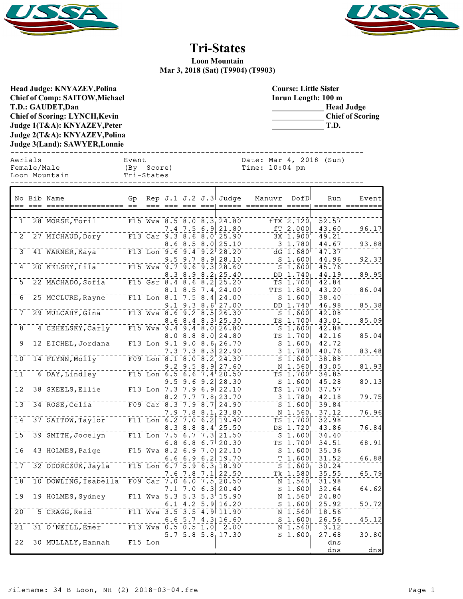



## **Tri-States**

**Loon Mountain Mar 3, 2018 (Sat) (T9904) (T9903)**

**Head Judge: KNYAZEV,Polina Chief of Comp: SAITOW,Michael T.D.: GAUDET,Dan Chief of Scoring: LYNCH,Kevin Judge 1(T&A): KNYAZEV,Peter Judge 2(T&A): KNYAZEV,Polina Judge 3(Land): SAWYER,Lonnie** 

**Course: Little Sister Inrun Length: 100 m \_\_\_\_\_\_\_\_\_\_\_\_\_ Head Judge \_\_\_\_\_\_\_\_\_\_\_\_\_ Chief of Scoring \_\_\_\_\_\_\_\_\_\_\_\_\_ T.D.**

------------------------------------------------------------------------------ Aerials Event Date: Mar 4, 2018 (Sun)

| Female/Male   | (By Score) | Time: $10:04$ pm |  |
|---------------|------------|------------------|--|
| Loon Mountain | Tri-States |                  |  |
|               |            |                  |  |

|                            | No Bib Name                           | Gp<br>$==$ |                                        |                                                |                                          |                                      | Rep $J.1 J.2 J.3$ Judge                | Manuvr  | DofD<br>$== == ==  $                           | Run<br>$\qquad \qquad \doteq\qquad \qquad \doteq\qquad \qquad \qquad$ | Event<br>======== |
|----------------------------|---------------------------------------|------------|----------------------------------------|------------------------------------------------|------------------------------------------|--------------------------------------|----------------------------------------|---------|------------------------------------------------|-----------------------------------------------------------------------|-------------------|
| 1 <sub>1</sub>             | 28 MORSE, Toril                       |            |                                        |                                                |                                          |                                      | F15 Wva <sub>1</sub> 8.5 8.0 8.3 24.80 |         | $fTX$ $2.120$                                  | 52.57                                                                 |                   |
| $2^1$                      | 27 MICHAUD, Dory                      |            | $F13$ $Car$                            | 7.4<br>9.3<br>8.6                              | 7.5<br>$\overline{8.6}$<br>8.5           | 6.9<br>8.0<br>8<br>$\cdot$ 0         | 21.80<br>25.90<br>25.10                | fТ      | 2.000<br>3X 1.900<br>3 1.780                   | 43.60<br>49.21<br>44.67                                               | 96.17<br>93.88    |
| $\bar{3}^{\dagger}$        | 41 WARNER, Kaya                       |            | $F13$ Lon <sup><math>-9.6</math></sup> | 9.5                                            | $\overline{9.4}$<br>9.7                  | 8.<br>9 <sup>1</sup>                 | $\sqrt{9.2}$ 28.20<br>28.10            | s       | $dG$ 1.680<br>1.600                            | 47.37<br>44.96                                                        | 92.33             |
| $\mathbf{A}$               | 20 KELSEY, LIIa                       |            |                                        | $F15$ Wva 9.7<br>8.3                           | $\overline{9.6}$<br>8.9                  | 8.2                                  | $\frac{1}{9.3}$ 28.60<br>25.40         |         | $S_1.600$<br>DD 1.740                          | 45.76<br>44.19                                                        | 89.95             |
| $\overline{5}$             | 22 MACHADO, Sofia                     |            | $F15$ $Gsr$                            | 8.4<br>8.1                                     | $\overline{8.6}$<br>8.5                  | $\overline{8.2}$<br>7.4              | 25.20<br>24.00                         |         | TS 1.700<br>TTS 1.800                          | 42.84<br>43.20                                                        | 86.04             |
| $\overline{6}$             | 25 MCCLURE, Rayne                     |            | $F11$ Lon $8.1$                        | 9.1                                            | 7.5<br>9.3                               | $\overline{8.4}$<br>8.6              | 24.00<br>27.00                         |         | $S_1.600$<br>DD 1.740                          | 38.40<br>46.98                                                        | 85.38             |
| 71                         | 29 MULCAHY, Gina                      |            |                                        | $F13$ Wva 8.6 9.2<br>8.6                       | 8.4                                      | $\overline{8.5}$<br>8.3 <sup>1</sup> | 26.30<br>25.30                         | TS.     | S <sub>1.600</sub><br>1.700                    | 42.08<br>43.01                                                        | 85.09             |
| $\overline{8}$             | 4 CEHELSKY, Carly                     |            |                                        | $F15$ Wva 9.4<br>8.0                           | $\sqrt{9.4}$<br>8.8                      | $\sqrt{8.0}$<br>8.0                  | 26.80<br>24.80                         | s<br>тs | 1.600<br>1.700                                 | 42.88<br>42.16                                                        | 85.04             |
| َوَ<br>$\overline{10}$     | 12 EICHEL, Jordana<br>14 FLYNN, Molly |            |                                        | F13 Lon, 9.1 9.0 8.6<br>7.3<br>$F09$ Lon $8.1$ | 7.3<br>8.0                               | 8.3<br>8.2                           | 26.70<br>22.90<br>24.30                |         | S 1.600<br>3 1.780<br>S <sub>1.600</sub>       | 42.72<br>40.76<br>38.88                                               | 83.48             |
| $\bar{1}\bar{1}^{\dagger}$ | 6 DAY, Lindley                        |            | $F15$ Lon <sup><math>6.5</math></sup>  | 9.2                                            | 9.5<br>$\overline{6} \cdot \overline{6}$ | 8.<br>9<br>$7.4^{\circ}$             | 27.60<br>20.50                         |         | N 1.560<br>TS 1.700                            | 43.05<br>34.85                                                        | 81.93             |
| $\overline{12}$            | 38 SKEELS, EIIIe <sup>------</sup>    |            | $F13$ Lon                              | 9.5<br>7.3                                     | 9.6<br>7.9                               | -9.<br>$\mathbf{2}$<br>6.            | 28.30<br>9122.10                       | S       | 1.600<br>TS 1.700                              | 45.28<br>37.57                                                        | 80.13             |
| $\overline{13}$            | 34 ROSE, Celia                        |            | $F09$ Car                              | 8.2<br>8.3                                     | 7.9                                      | 8.7                                  | $7.7$ $7.8$ 23.70<br>24.90             |         | $3\;\;1.780$<br>S <sub>1.600</sub>             | 42.18<br>39.84                                                        | 79.75             |
| $\overline{14}$            | 37 SAITOW, Taylor                     |            | $F11$ Lon                              | 7.9<br>6.2                                     | 7.8<br>7.0                               | 8.1<br>6.2                           | 23.80<br>19.40                         |         | N 1.560<br>TS 1.700                            | 37.12<br>32.98                                                        | 76.96             |
| $\overline{15}$            | 39 SMITH, Jocelyn                     |            | $F11$ Lon $7.5$                        | 8.3                                            | 8.8<br>$\bar{6}.\bar{7}$                 | 8.4<br>7.3                           | 25.50<br>21.50                         |         | DS 1.720<br>$\overline{S}$ $\overline{1}$ .600 | 43.86<br>34.40                                                        | 76.84             |
| $\overline{16}$            | 43 HOLMES, Paige                      |            |                                        | 6.8<br>$F15$ Wva 8.2                           | 6.8<br>$\overline{6.9}$                  | 6.7 <sup>1</sup><br>7.01             | 20.30<br>22.10                         | ТS      | 1.700<br>$S$ 1.600                             | 34.51<br>35.36                                                        | 68.91             |
| 17                         | 32 ODORCZUK, Jayla                    |            |                                        | 6.6<br>$F15$ Lon 6.7<br>7.6                    | 6.9<br>5.9<br>7.8                        | 6.2<br>6.3 <sub>1</sub><br>7.1       | 19.70<br>18.90<br>22.50                | т       | 1.600<br>S <sub>1.600</sub><br>Tk 1.580        | 31.52<br>30.24<br>35.55                                               | 66.88<br>65.79    |
| $\overline{18}$            | 10 DOWLING, Isabella                  |            | $F09$ $Car$                            | 7.1                                            | 7.0 6.0<br>7.0                           | $\bar{7}.\bar{5}$<br>6.<br>3         | 20.50<br>20.40                         | s       | N 1.560<br>1.600                               | 31.98<br>32.64                                                        | 64.62             |
| $\overline{19}$            | 19 HOLMES, Sydney                     |            | $F11$ $Wva$                            | $\overline{5.3}$<br>6.1                        | $\overline{5.3}$<br>4.2                  | $\overline{5.3}$                     | 15.90<br>$5.9$ 16.20                   |         | N 1.560<br>$S$ 1.600                           | 24.80<br>25.92                                                        | 50.72             |
| $\overline{20}$            | 5 CRAGG, Reid                         |            | $F11$ Wva                              | $\overline{3.5}$<br>6.6                        | $\overline{3.5}$<br>5.7                  |                                      | $\frac{1}{4.9}$ 11.90<br>$4.3$ 16.60   |         | N 1.560<br>S 1.600                             | 18.56<br>26.56                                                        | 45.12             |
| $\overline{21}$            | $31$ O'NEILL, Emer                    |            |                                        | F13 Wva 0.5 0.5 1.0                            |                                          |                                      | 2.00<br>$5.7$ $5.8$ $5.8$ $17.30$      |         | $N$ 1.560<br>S 1.600                           | 3.12<br>27.68                                                         | 30.80             |
| $\overline{2}\overline{2}$ | 30 MULLALY, Hannah                    |            | F15 Lon                                |                                                |                                          |                                      |                                        |         |                                                | dns<br>dns                                                            | dns               |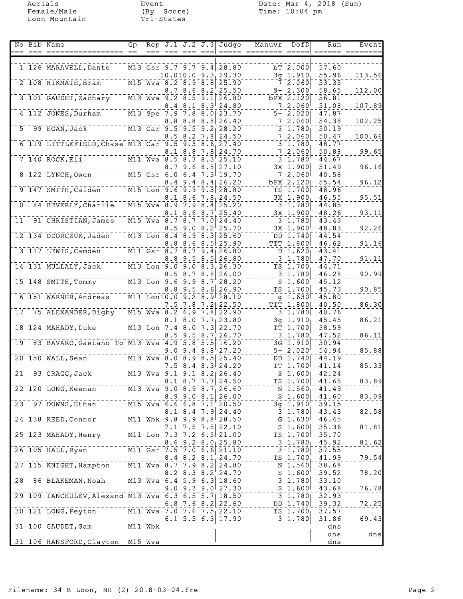Loon Mountain Tri-States

Aerials Event Date: Mar 4, 2018 (Sun) Female/Male (By Score) Time: 10:04 pm

| Nol                          | Bib Name                                                                                                                                                                                                                                                                                                                    | Gp   | Rep                               |            |                                                            |                  | $J.1$ $J.2$ $J.3$ Judge                                  | Manuvr               | DofD                       | Run            | Event           |
|------------------------------|-----------------------------------------------------------------------------------------------------------------------------------------------------------------------------------------------------------------------------------------------------------------------------------------------------------------------------|------|-----------------------------------|------------|------------------------------------------------------------|------------------|----------------------------------------------------------|----------------------|----------------------------|----------------|-----------------|
|                              | === =========                                                                                                                                                                                                                                                                                                               | $==$ |                                   |            |                                                            |                  |                                                          | ===== ======== ===== |                            |                | ====== ======== |
| $1\vert$                     | 126 MARAVELL, Dante                                                                                                                                                                                                                                                                                                         |      |                                   |            |                                                            |                  | M13 Gsr 9.7 9.7 9.4 28.80                                |                      | bT 2.000                   | 57.60          |                 |
|                              | 108 HIKMATE, Bram                                                                                                                                                                                                                                                                                                           |      | $\overline{M15}$ $\overline{Wv}a$ |            | $\overline{8.2}$ $\overline{8.9}$ $\overline{8.8}$         |                  | $10.010.0$ $9.3$ <sub>1</sub> 29.30<br>25.90             |                      | $3g$ 1.910<br>7, 2,060     | 55.96<br>53.35 | 113.56          |
|                              |                                                                                                                                                                                                                                                                                                                             |      |                                   |            | 8.7 8.6 8.2                                                |                  | 25.50                                                    |                      | $9 - 2.300$                | 58.65          | 112.00          |
|                              | 101 GAUDET, Zachary M13 Wva                                                                                                                                                                                                                                                                                                 |      |                                   |            | $9.2 - 8.5 - 9.1$                                          |                  | 26.80                                                    |                      | bPX 2.120                  | 56.81          |                 |
|                              |                                                                                                                                                                                                                                                                                                                             |      |                                   | 8.4        | 8.1                                                        | 8.3 <sup>1</sup> | 24.80                                                    |                      | 72.060                     | 51.08          | 107.89          |
| 4 <sup>1</sup>               | 112 JONES, Durham M13 Spe 7.9 7.8                                                                                                                                                                                                                                                                                           |      |                                   | 8.8        | 8.8                                                        | 8.8              | $8.0$ 23.70<br>26.40                                     |                      | $5 - 2.020$<br>72.060      | 47.87<br>54.38 | 102.25          |
| 5 <sub>1</sub>               | $\frac{1}{2}$ M13 Car 9.5 9.5 9.2<br>99 EGAN, Jack                                                                                                                                                                                                                                                                          |      |                                   |            |                                                            |                  | 28.20                                                    |                      | 3 1.780                    | 50.19          |                 |
|                              | 6 119 LITTLEFIELD, Chase M13 Car 9.5 9.3 8.6 27.40                                                                                                                                                                                                                                                                          |      |                                   |            | 8.5 8.2                                                    | 7.8              | 24.50                                                    | 7                    | 2.060                      | 50.47          | 100.66          |
|                              |                                                                                                                                                                                                                                                                                                                             |      |                                   | 8.1        | 8.8                                                        | 7.8              | 24.70                                                    |                      | $3 - 1.780$<br>72.060      | 48.77<br>50.88 | 99.65           |
|                              | 7 140 ROCK, E11 $\overline{M11}$ Wva 8.5 8.3                                                                                                                                                                                                                                                                                |      |                                   |            |                                                            | $8.3^{\circ}$    | 25.10                                                    |                      | $3\;\; 1.780^\circ$        | 44.67          |                 |
|                              | 8 122 LYNCH, Owen M15 Gsr 6.0 6.4 7.3 19.70                                                                                                                                                                                                                                                                                 |      |                                   | 8.7        | 9.6                                                        | 8.8              | 27.10                                                    |                      | 3X 1.900                   | 51.49          | 96.16           |
|                              |                                                                                                                                                                                                                                                                                                                             |      |                                   |            |                                                            |                  | $8.4$ 9.4 $8.4$ 26.20                                    |                      | 72.060<br>bPX 2.120        | 40.58<br>55.54 | 96.12           |
|                              | 147 SMITH, Caiden <sup>------</sup> M15 Lon                                                                                                                                                                                                                                                                                 |      |                                   |            |                                                            |                  | $9.6$ $9.9$ $9.3$ $28.80$                                |                      | TS 1.700                   | 48.96          |                 |
|                              |                                                                                                                                                                                                                                                                                                                             |      |                                   | 8.1        | 8.6                                                        |                  | 7.8, 24.50                                               |                      | $3X_1.900_1$               | 46.55          | 95.51           |
| $\overline{10}$              | 84 BEVERLY, Charlie M15 Wva                                                                                                                                                                                                                                                                                                 |      |                                   |            | $\begin{bmatrix} 8.9 & 7.9 & 8.4 \end{bmatrix}$<br>8.1 8.6 | 8.7              | 25.20<br>25.40                                           |                      | 3 1.780<br>3X 1.900        | 44.85<br>48.26 | 93.11           |
| $\bar{1}\bar{1}$             | 91 CHRISTIAN, James                                                                                                                                                                                                                                                                                                         |      | $\overline{M15}$ $\overline{Wv}a$ |            | 8.78.77.0                                                  |                  | 24.40                                                    |                      | 3 1.780                    | 43.43          |                 |
|                              |                                                                                                                                                                                                                                                                                                                             |      |                                   | 8.5        | 9.0                                                        |                  | $8.2^{+}25.70$                                           |                      | $3X \; 1.900$              | 48.83          | 92.26           |
| 12                           | 134 ODORCZUK, Jaden M13 Lon 8.4 8.9 8.3 25.60                                                                                                                                                                                                                                                                               |      |                                   |            |                                                            |                  | $8.8$ $8.6$ $8.5$ 25.90                                  |                      | DD 1.740<br>TTT 1.800      | 44.54<br>46.62 | 91.16           |
|                              | 13 117 LEWIS, Camden M11 Gsr 8.7 8.7 9.4                                                                                                                                                                                                                                                                                    |      |                                   |            |                                                            |                  | 26.80                                                    |                      | D 1.620                    | 43.41          |                 |
|                              |                                                                                                                                                                                                                                                                                                                             |      |                                   | 8.8        |                                                            | 9.58.5           | 26.80                                                    |                      | 3 1.780                    | 47.70          | 91.11           |
|                              | 14, 131 MULLALY, Jack M13 Lon, 9.0 9.0 8.3, 26.30                                                                                                                                                                                                                                                                           |      |                                   |            | 8.5 8.7                                                    | 8.8              | 26.00                                                    |                      | TS 1.700<br>3 1.780        | 44.71<br>46.28 | 90.99           |
|                              | $15^{+}$ 148 SMITH, Tommy M13 Lon 9.6 9.9 8.7                                                                                                                                                                                                                                                                               |      |                                   |            |                                                            |                  | 28.20                                                    |                      | S <sub>1.600</sub>         | 45.12          |                 |
|                              |                                                                                                                                                                                                                                                                                                                             |      |                                   |            | $8.8$ 9.5 $8.6$                                            |                  | 26.90                                                    |                      | TS 1.700                   | 45.73          | 90.85           |
|                              | 16 151 WARNER, Andreas M11 Lon10.0 9.2 8.9 28.10                                                                                                                                                                                                                                                                            |      |                                   | 7.5        | 7.8                                                        |                  | $7.2$ 22.50                                              |                      | g $1.630$<br>TTT 1.800     | 45.80<br>40.50 | 86.30           |
| 17                           | 75 ALEXANDER, Digby                                                                                                                                                                                                                                                                                                         |      | $M15$ Wva                         | 8.2        | $-6.9$                                                     |                  | $7.8$ 22.90                                              |                      | $3 \; 1.780$               | 40.76          |                 |
|                              |                                                                                                                                                                                                                                                                                                                             |      |                                   |            |                                                            |                  | $8.1$ $8.0$ $7.7$ 23.80                                  |                      | $3q$ 1.910                 | 45.45          | 86.21           |
| 18                           | 124 MAHADY, Luke                                                                                                                                                                                                                                                                                                            |      | $M13$ Lon                         | 7.4 8.0    | $8.5$ 9.5 $8.7$                                            | 7.3              | 22.70<br>26.70                                           |                      | TT 1.700<br>3 1.780        | 38.59<br>47.52 | 86.11           |
| $\overline{19}$              | 83 BAVARO, Gaetano To M13 Wva                                                                                                                                                                                                                                                                                               |      |                                   | 4.9        | $5.\overline{8}$                                           | 5.5              | 16.20                                                    |                      | 3G 1.910                   | 30.94          |                 |
|                              |                                                                                                                                                                                                                                                                                                                             |      |                                   | 9.0        | 9.4                                                        | $8.8^\circ$      | 27.20                                                    |                      | $5 - 2.020$                | 54.94          | 85.88           |
| 201                          | $\overline{M13}$ $\overline{W}$ va 8.0 8.9 8.5 25.40<br>150 WALL, Sean                                                                                                                                                                                                                                                      |      |                                   |            |                                                            |                  | 24.20                                                    |                      | DD 1.740<br>TT 1.700       | 44.19<br>41.14 |                 |
| 211                          | 93 CRAGG, Jack                                                                                                                                                                                                                                                                                                              |      |                                   |            | $7.5$ 8.4 8.3                                              |                  | M13 Wva 9.1 9.1 8.2 26.40                                |                      | $S$ 1.600                  | 42.24          | 85.33           |
|                              |                                                                                                                                                                                                                                                                                                                             |      |                                   |            |                                                            |                  | $8.1$ $8.7$ $7.7$ $24.50$                                |                      | TS 1.700                   | 41.65          | 83.89           |
|                              | 22, 120 LONG, Keenan M13 Wva, 9.0 8.9 8.7, 26.60                                                                                                                                                                                                                                                                            |      |                                   |            |                                                            |                  |                                                          |                      | $N$ 1.560                  | 41.49<br>41.60 |                 |
| $\overline{2}3$ <sup>T</sup> | $-97$ DOWNS, Ethan $-15$ Wva 6.6 6.8 7.1 20.50                                                                                                                                                                                                                                                                              |      |                                   |            | $8.9$ 9.0 $8.1$                                            |                  | 26.00                                                    |                      | $S$ 1.600<br>$3q^{-1.910}$ | 39.15          | 83.09           |
|                              |                                                                                                                                                                                                                                                                                                                             |      |                                   |            | 8.1 8.4                                                    |                  | 7.9 24.40                                                |                      | $3 \t1.780$                | 43.43          | 82.58           |
|                              | $24$ 138 REED, Connor M11 Wbk 3:8 3:3 8:3 28:50                                                                                                                                                                                                                                                                             |      |                                   |            |                                                            |                  |                                                          |                      | G $1.630$                  | 46.45          |                 |
|                              | 25 123 MAHADY, Henry 111 Lon                                                                                                                                                                                                                                                                                                |      |                                   | 7.1<br>7.3 | 7.5<br>$\overline{7.2}$                                    |                  | $7.5$ 22.10<br>$6.5$ 21.00                               |                      | $S$ 1.600<br>TS 1.700      | 35.36<br>35.70 | 81.81           |
|                              |                                                                                                                                                                                                                                                                                                                             |      |                                   |            |                                                            |                  | $8.6$ 9.2 $8.0$ 25.80                                    |                      | $3\;\; 1.780$              | 45.92          | 81.62           |
| $\overline{26}$              | $\frac{1}{2}$ = $\frac{1}{2}$ = $\frac{1}{2}$ = $\frac{1}{2}$ = $\frac{1}{2}$ = $\frac{1}{2}$ = $\frac{1}{2}$ = $\frac{1}{2}$ = $\frac{1}{2}$ = $\frac{1}{2}$ = $\frac{1}{2}$ = $\frac{1}{2}$ = $\frac{1}{2}$ = $\frac{1}{2}$ = $\frac{1}{2}$ = $\frac{1}{2}$ = $\frac{1}{2}$ = $\frac{1}{2}$ = $\frac{1$<br>105 HALL, Ryan |      |                                   |            |                                                            |                  | $7.5$ $7.0$ $6.6$ $21.10$                                |                      | $3\overline{1.780}$        | 37.55<br>41.99 |                 |
|                              | 115 KNIGHT, Hampton M11 Wva                                                                                                                                                                                                                                                                                                 |      |                                   |            |                                                            |                  | 8.4 8.2 8.1 24.70<br>$\sqrt{8.7}$ 7.9 $\sqrt{8.2}$ 24.80 |                      | TS 1.700<br>N 1.560        | 38.68          | 79.54           |
|                              |                                                                                                                                                                                                                                                                                                                             |      |                                   |            |                                                            |                  | 8.2 8.3 8.2 24.70                                        |                      | $S$ 1.600                  | 39.52          | 78.20           |
| 28                           | 86 BLAKEMAN, Noah M13 Wva 6.4 5.9 6.3 18.60                                                                                                                                                                                                                                                                                 |      |                                   |            |                                                            |                  |                                                          |                      | $3 \t1.780$                | 33.10          |                 |
|                              | 29 109 IANCHULEV, Alexand M13 Wva 6.3 6.5 5.7 18.50                                                                                                                                                                                                                                                                         |      |                                   |            |                                                            |                  | $9.0$ $9.3$ $9.0$ $27.30$                                |                      | $S$ 1.600<br>$3\;\; 1.780$ | 43.68<br>32.93 | 76.78           |
|                              |                                                                                                                                                                                                                                                                                                                             |      |                                   |            |                                                            |                  | 6.8 7.6 8.2 $22.60$                                      |                      | DD 1.740                   | 39.32          | 72.25           |
|                              | 30 121 LONG, Peyton                                                                                                                                                                                                                                                                                                         |      |                                   |            |                                                            |                  | M11 $Wva_1$ 7.0 7.6 7.5 22.10                            |                      | $TS$ 1.700                 | 37.57          |                 |
|                              | $---\overline{M11}$ Wbk<br>31 100 GAUDET, Sam                                                                                                                                                                                                                                                                               |      |                                   |            |                                                            |                  | 6.1 5.5 6.3 17.90                                        |                      | $3 \; 1.780$               | 31.86<br>dns   | 69.43           |
|                              |                                                                                                                                                                                                                                                                                                                             |      |                                   |            |                                                            |                  |                                                          |                      |                            | dns            | dns             |
|                              | 31 106 HANSFORD, Clayton M15 Wva                                                                                                                                                                                                                                                                                            |      |                                   |            |                                                            |                  |                                                          |                      |                            | dns            |                 |